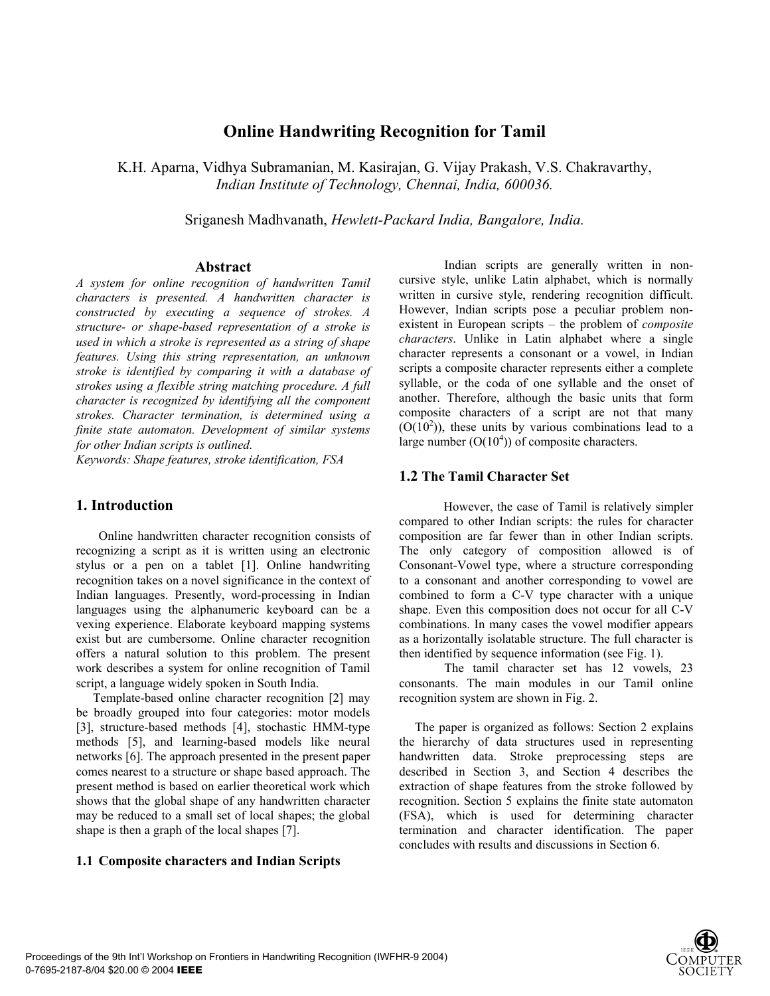# **Online Handwriting Recognition for Tamil**

K.H. Aparna, Vidhya Subramanian, M. Kasirajan, G. Vijay Prakash, V.S. Chakravarthy, *Indian Institute of Technology, Chennai, India, 600036.* 

Sriganesh Madhvanath, *Hewlett-Packard India, Bangalore, India.*

#### **Abstract**

*A system for online recognition of handwritten Tamil characters is presented. A handwritten character is constructed by executing a sequence of strokes. A structure- or shape-based representation of a stroke is used in which a stroke is represented as a string of shape features. Using this string representation, an unknown stroke is identified by comparing it with a database of strokes using a flexible string matching procedure. A full character is recognized by identifying all the component strokes. Character termination, is determined using a finite state automaton. Development of similar systems for other Indian scripts is outlined.* 

*Keywords: Shape features, stroke identification, FSA* 

## **1. Introduction**

Online handwritten character recognition consists of recognizing a script as it is written using an electronic stylus or a pen on a tablet [1]. Online handwriting recognition takes on a novel significance in the context of Indian languages. Presently, word-processing in Indian languages using the alphanumeric keyboard can be a vexing experience. Elaborate keyboard mapping systems exist but are cumbersome. Online character recognition offers a natural solution to this problem. The present work describes a system for online recognition of Tamil script, a language widely spoken in South India.

Template-based online character recognition [2] may be broadly grouped into four categories: motor models [3], structure-based methods [4], stochastic HMM-type methods [5], and learning-based models like neural networks [6]. The approach presented in the present paper comes nearest to a structure or shape based approach. The present method is based on earlier theoretical work which shows that the global shape of any handwritten character may be reduced to a small set of local shapes; the global shape is then a graph of the local shapes [7].

#### **1.1 Composite characters and Indian Scripts**

 Indian scripts are generally written in noncursive style, unlike Latin alphabet, which is normally written in cursive style, rendering recognition difficult. However, Indian scripts pose a peculiar problem nonexistent in European scripts – the problem of *composite characters*. Unlike in Latin alphabet where a single character represents a consonant or a vowel, in Indian scripts a composite character represents either a complete syllable, or the coda of one syllable and the onset of another. Therefore, although the basic units that form composite characters of a script are not that many  $(O(10<sup>2</sup>))$ , these units by various combinations lead to a large number  $(O(10<sup>4</sup>))$  of composite characters.

#### **1.2 The Tamil Character Set**

However, the case of Tamil is relatively simpler compared to other Indian scripts: the rules for character composition are far fewer than in other Indian scripts. The only category of composition allowed is of Consonant-Vowel type, where a structure corresponding to a consonant and another corresponding to vowel are combined to form a C-V type character with a unique shape. Even this composition does not occur for all C-V combinations. In many cases the vowel modifier appears as a horizontally isolatable structure. The full character is then identified by sequence information (see Fig. 1).

 The tamil character set has 12 vowels, 23 consonants. The main modules in our Tamil online recognition system are shown in Fig. 2.

 The paper is organized as follows: Section 2 explains the hierarchy of data structures used in representing handwritten data. Stroke preprocessing steps are described in Section 3, and Section 4 describes the extraction of shape features from the stroke followed by recognition. Section 5 explains the finite state automaton (FSA), which is used for determining character termination and character identification. The paper concludes with results and discussions in Section 6.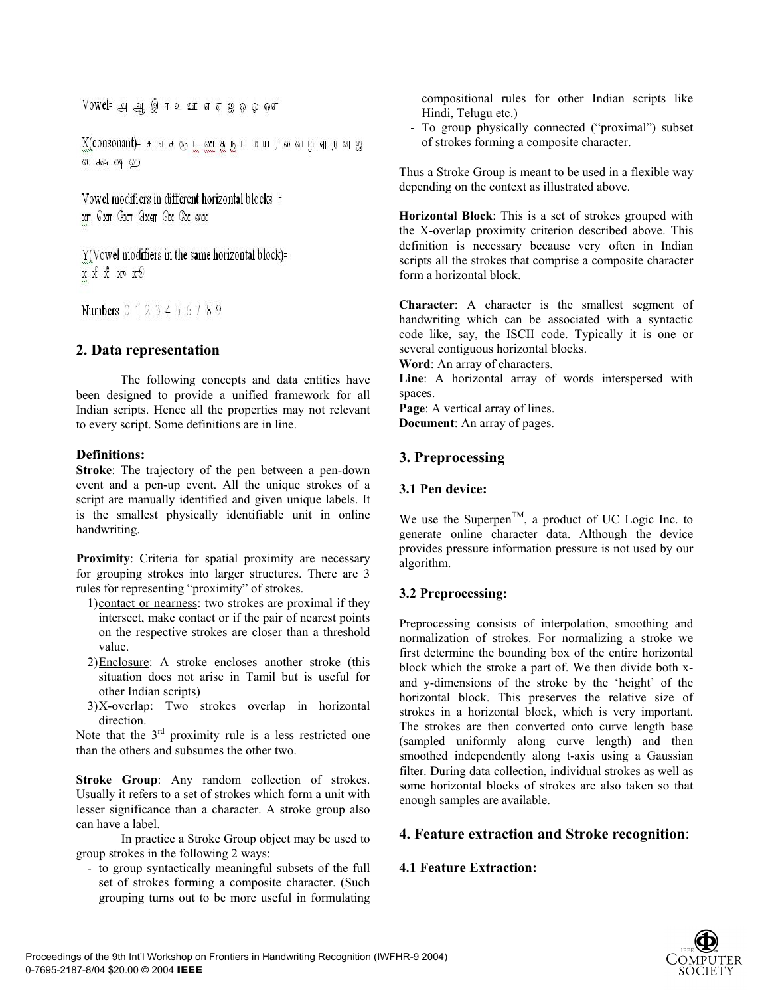Vowel= அ ஆ இ ஈ உ ஊ எஏ ஐ ஓ ஓ ஔ

 $X$ (consonant)= கங்சஞ்டன் தந்பமயரல் வழ் எறன் ஜ ஸ கூ ஷ ஹ

Vowel modifiers in different horizontal blocks = xn Qxn Cxn Qxqn Qx Cx mx

 $Y$ (Vowel modifiers in the same horizontal block)= x x x x x x y

Numbers 0 1 2 3 4 5 6 7 8 9

## **2. Data representation**

The following concepts and data entities have been designed to provide a unified framework for all Indian scripts. Hence all the properties may not relevant to every script. Some definitions are in line.

### **Definitions:**

**Stroke**: The trajectory of the pen between a pen-down event and a pen-up event. All the unique strokes of a script are manually identified and given unique labels. It is the smallest physically identifiable unit in online handwriting.

**Proximity**: Criteria for spatial proximity are necessary for grouping strokes into larger structures. There are 3 rules for representing "proximity" of strokes.

- 1) contact or nearness: two strokes are proximal if they intersect, make contact or if the pair of nearest points on the respective strokes are closer than a threshold value.
- 2) Enclosure: A stroke encloses another stroke (this situation does not arise in Tamil but is useful for other Indian scripts)
- $3)X-overlap$ : Two strokes overlap in horizontal direction.

Note that the  $3<sup>rd</sup>$  proximity rule is a less restricted one than the others and subsumes the other two.

**Stroke Group**: Any random collection of strokes. Usually it refers to a set of strokes which form a unit with lesser significance than a character. A stroke group also can have a label.

 In practice a Stroke Group object may be used to group strokes in the following 2 ways:

- to group syntactically meaningful subsets of the full set of strokes forming a composite character. (Such grouping turns out to be more useful in formulating compositional rules for other Indian scripts like Hindi, Telugu etc.)

- To group physically connected ("proximal") subset of strokes forming a composite character.

Thus a Stroke Group is meant to be used in a flexible way depending on the context as illustrated above.

**Horizontal Block**: This is a set of strokes grouped with the X-overlap proximity criterion described above. This definition is necessary because very often in Indian scripts all the strokes that comprise a composite character form a horizontal block.

**Character**: A character is the smallest segment of handwriting which can be associated with a syntactic code like, say, the ISCII code. Typically it is one or several contiguous horizontal blocks.

**Word**: An array of characters.

**Line**: A horizontal array of words interspersed with spaces.

Page: A vertical array of lines. **Document**: An array of pages.

## **3. Preprocessing**

## **3.1 Pen device:**

We use the Superpen<sup>TM</sup>, a product of UC Logic Inc. to generate online character data. Although the device provides pressure information pressure is not used by our algorithm.

## **3.2 Preprocessing:**

Preprocessing consists of interpolation, smoothing and normalization of strokes. For normalizing a stroke we first determine the bounding box of the entire horizontal block which the stroke a part of. We then divide both xand y-dimensions of the stroke by the 'height' of the horizontal block. This preserves the relative size of strokes in a horizontal block, which is very important. The strokes are then converted onto curve length base (sampled uniformly along curve length) and then smoothed independently along t-axis using a Gaussian filter. During data collection, individual strokes as well as some horizontal blocks of strokes are also taken so that enough samples are available.

## **4. Feature extraction and Stroke recognition**:

## **4.1 Feature Extraction:**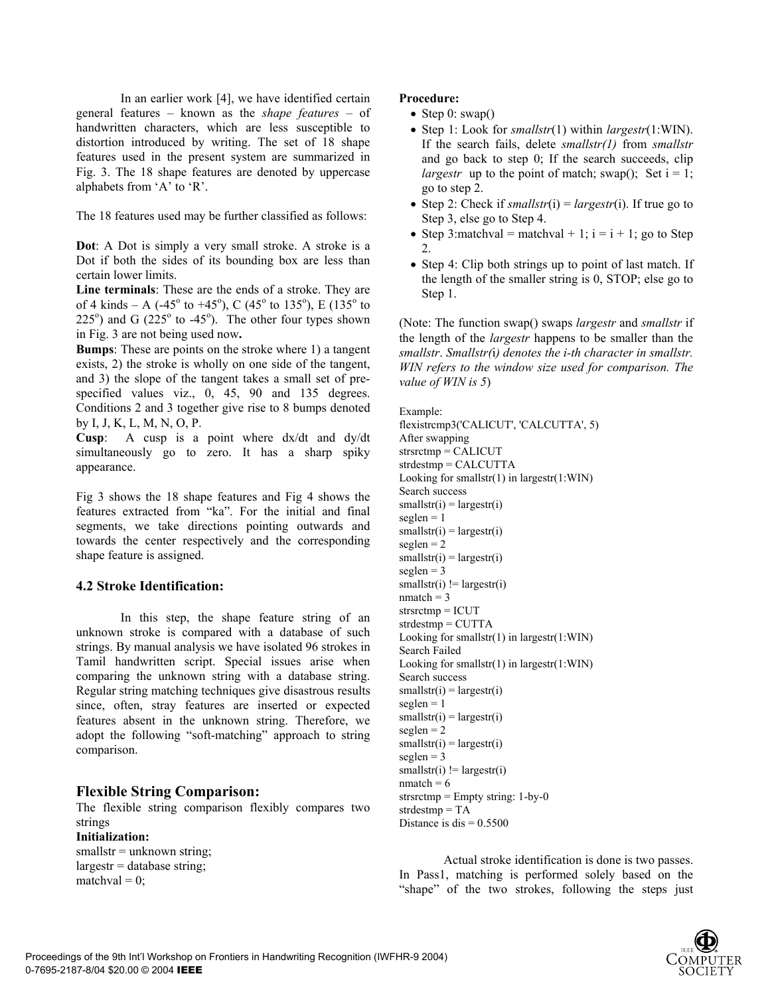In an earlier work [4], we have identified certain general features – known as the *shape features* – of handwritten characters, which are less susceptible to distortion introduced by writing. The set of 18 shape features used in the present system are summarized in Fig. 3. The 18 shape features are denoted by uppercase alphabets from 'A' to 'R'.

The 18 features used may be further classified as follows:

**Dot**: A Dot is simply a very small stroke. A stroke is a Dot if both the sides of its bounding box are less than certain lower limits.

**Line terminals**: These are the ends of a stroke. They are of 4 kinds – A (-45<sup>o</sup> to +45<sup>o</sup>), C (45<sup>o</sup> to 135<sup>o</sup>), E (135<sup>o</sup> to  $225^{\circ}$ ) and G ( $225^{\circ}$  to -45°). The other four types shown in Fig. 3 are not being used now**.** 

**Bumps**: These are points on the stroke where 1) a tangent exists, 2) the stroke is wholly on one side of the tangent, and 3) the slope of the tangent takes a small set of prespecified values viz., 0, 45, 90 and 135 degrees. Conditions 2 and 3 together give rise to 8 bumps denoted by I, J, K, L, M, N, O, P.

**Cusp**: A cusp is a point where dx/dt and dy/dt simultaneously go to zero. It has a sharp spiky appearance.

Fig 3 shows the 18 shape features and Fig 4 shows the features extracted from "ka". For the initial and final segments, we take directions pointing outwards and towards the center respectively and the corresponding shape feature is assigned.

#### **4.2 Stroke Identification:**

In this step, the shape feature string of an unknown stroke is compared with a database of such strings. By manual analysis we have isolated 96 strokes in Tamil handwritten script. Special issues arise when comparing the unknown string with a database string. Regular string matching techniques give disastrous results since, often, stray features are inserted or expected features absent in the unknown string. Therefore, we adopt the following "soft-matching" approach to string comparison.

#### **Flexible String Comparison:**

The flexible string comparison flexibly compares two strings

**Initialization:**  smallstr = unknown string;  $largestr = database string;$ matchval  $= 0$ :

#### **Procedure:**

- Step 0:  $swap()$
- Step 1: Look for *smallstr*(1) within *largestr*(1:WIN). If the search fails, delete *smallstr(1)* from *smallstr* and go back to step 0; If the search succeeds, clip *largestr* up to the point of match; swap(); Set  $i = 1$ ; go to step 2.
- Step 2: Check if  $smallstr(i) = largestr(i)$ . If true go to Step 3, else go to Step 4.
- Step 3: matchval = matchval + 1; i = i + 1; go to Step 2.
- Step 4: Clip both strings up to point of last match. If the length of the smaller string is 0, STOP; else go to Step 1.

(Note: The function swap() swaps *largestr* and *smallstr* if the length of the *largestr* happens to be smaller than the *smallstr*. *Smallstr(*i*) denotes the i-th character in smallstr. WIN refers to the window size used for comparison. The value of WIN is 5*)

Example: flexistrcmp3('CALICUT', 'CALCUTTA', 5) After swapping strsrctmp = CALICUT strdestmp = CALCUTTA Looking for smallstr(1) in largestr(1:WIN) Search success  $smallest(i) = largestr(i)$  $seglen = 1$  $smallest(i) = largestr(i)$  $seglen = 2$  $smallest(i) = largestr(i)$  $seglen = 3$  $smallest(i) != largestr(i)$  $nmatch = 3$ strsrctmp = ICUT strdestmp = CUTTA Looking for smallstr(1) in largestr(1:WIN) Search Failed Looking for smallstr(1) in largestr(1:WIN) Search success  $smallest(i) = largestr(i)$  $seglen = 1$  $smallest(i) = largestr(i)$  $seglen = 2$  $smallest(i) = largestr(i)$  $seglen = 3$  $smallest(i) != largestr(i)$  $nmatch = 6$ strsrctmp =  $Empty$  string: 1-by-0 strdestmp = TA Distance is dis  $= 0.5500$ 

Actual stroke identification is done is two passes. In Pass1, matching is performed solely based on the "shape" of the two strokes, following the steps just

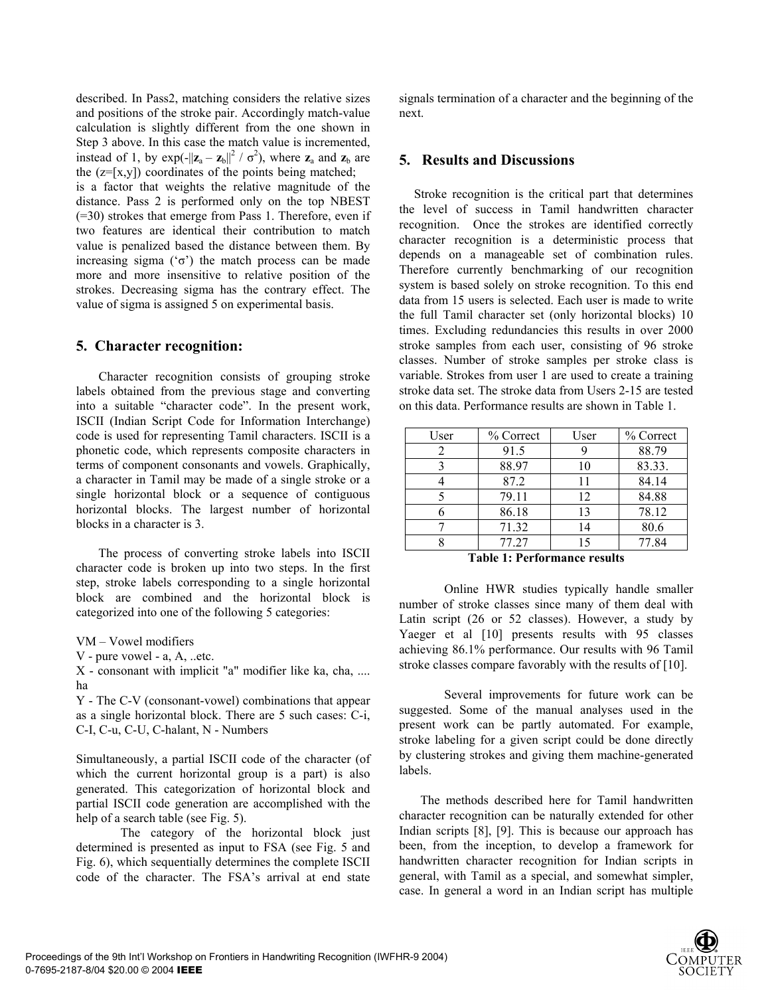described. In Pass2, matching considers the relative sizes and positions of the stroke pair. Accordingly match-value calculation is slightly different from the one shown in Step 3 above. In this case the match value is incremented, instead of 1, by  $exp(-||z_a - z_b||^2 / \sigma^2)$ , where  $z_a$  and  $z_b$  are the  $(z=[x,y])$  coordinates of the points being matched;

is a factor that weights the relative magnitude of the distance. Pass 2 is performed only on the top NBEST (=30) strokes that emerge from Pass 1. Therefore, even if two features are identical their contribution to match value is penalized based the distance between them. By increasing sigma ('σ') the match process can be made more and more insensitive to relative position of the strokes. Decreasing sigma has the contrary effect. The value of sigma is assigned 5 on experimental basis.

#### **5. Character recognition:**

Character recognition consists of grouping stroke labels obtained from the previous stage and converting into a suitable "character code". In the present work, ISCII (Indian Script Code for Information Interchange) code is used for representing Tamil characters. ISCII is a phonetic code, which represents composite characters in terms of component consonants and vowels. Graphically, a character in Tamil may be made of a single stroke or a single horizontal block or a sequence of contiguous horizontal blocks. The largest number of horizontal blocks in a character is 3.

The process of converting stroke labels into ISCII character code is broken up into two steps. In the first step, stroke labels corresponding to a single horizontal block are combined and the horizontal block is categorized into one of the following 5 categories:

VM – Vowel modifiers

V - pure vowel - a, A, ..etc.

X - consonant with implicit "a" modifier like ka, cha, .... ha

Y - The C-V (consonant-vowel) combinations that appear as a single horizontal block. There are 5 such cases: C-i, C-I, C-u, C-U, C-halant, N - Numbers

Simultaneously, a partial ISCII code of the character (of which the current horizontal group is a part) is also generated. This categorization of horizontal block and partial ISCII code generation are accomplished with the help of a search table (see Fig. 5).

The category of the horizontal block just determined is presented as input to FSA (see Fig. 5 and Fig. 6), which sequentially determines the complete ISCII code of the character. The FSA's arrival at end state signals termination of a character and the beginning of the next.

#### **5. Results and Discussions**

Stroke recognition is the critical part that determines the level of success in Tamil handwritten character recognition. Once the strokes are identified correctly character recognition is a deterministic process that depends on a manageable set of combination rules. Therefore currently benchmarking of our recognition system is based solely on stroke recognition. To this end data from 15 users is selected. Each user is made to write the full Tamil character set (only horizontal blocks) 10 times. Excluding redundancies this results in over 2000 stroke samples from each user, consisting of 96 stroke classes. Number of stroke samples per stroke class is variable. Strokes from user 1 are used to create a training stroke data set. The stroke data from Users 2-15 are tested on this data. Performance results are shown in Table 1.

| User | % Correct | User | % Correct |  |
|------|-----------|------|-----------|--|
| 2    | 91.5      |      | 88.79     |  |
|      | 88.97     | 10   | 83.33.    |  |
|      | 87.2      | 11   | 84.14     |  |
|      | 79.11     | 12   | 84.88     |  |
|      | 86.18     | 13   | 78.12     |  |
|      | 71.32     | 14   | 80.6      |  |
|      | 77.27     | 15   | 77.84     |  |

**Table 1: Performance results**

 Online HWR studies typically handle smaller number of stroke classes since many of them deal with Latin script (26 or 52 classes). However, a study by Yaeger et al [10] presents results with 95 classes achieving 86.1% performance. Our results with 96 Tamil stroke classes compare favorably with the results of [10].

 Several improvements for future work can be suggested. Some of the manual analyses used in the present work can be partly automated. For example, stroke labeling for a given script could be done directly by clustering strokes and giving them machine-generated labels.

 The methods described here for Tamil handwritten character recognition can be naturally extended for other Indian scripts [8], [9]. This is because our approach has been, from the inception, to develop a framework for handwritten character recognition for Indian scripts in general, with Tamil as a special, and somewhat simpler, case. In general a word in an Indian script has multiple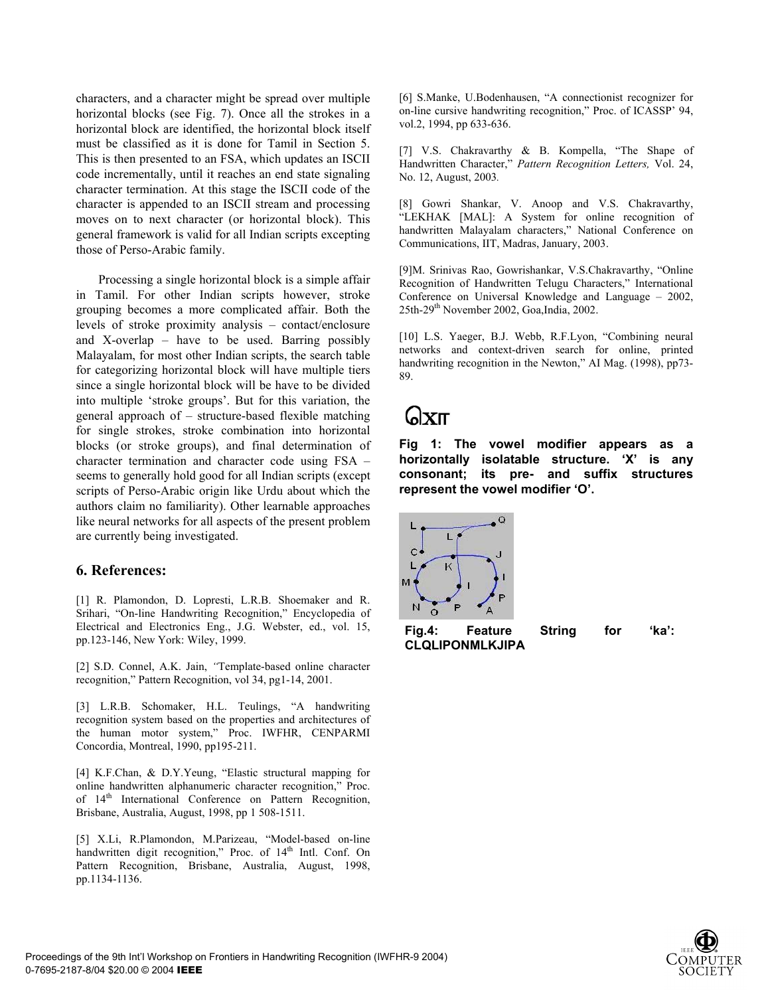characters, and a character might be spread over multiple horizontal blocks (see Fig. 7). Once all the strokes in a horizontal block are identified, the horizontal block itself must be classified as it is done for Tamil in Section 5. This is then presented to an FSA, which updates an ISCII code incrementally, until it reaches an end state signaling character termination. At this stage the ISCII code of the character is appended to an ISCII stream and processing moves on to next character (or horizontal block). This general framework is valid for all Indian scripts excepting those of Perso-Arabic family.

Processing a single horizontal block is a simple affair in Tamil. For other Indian scripts however, stroke grouping becomes a more complicated affair. Both the levels of stroke proximity analysis – contact/enclosure and X-overlap – have to be used. Barring possibly Malayalam, for most other Indian scripts, the search table for categorizing horizontal block will have multiple tiers since a single horizontal block will be have to be divided into multiple 'stroke groups'. But for this variation, the general approach of – structure-based flexible matching for single strokes, stroke combination into horizontal blocks (or stroke groups), and final determination of character termination and character code using FSA – seems to generally hold good for all Indian scripts (except scripts of Perso-Arabic origin like Urdu about which the authors claim no familiarity). Other learnable approaches like neural networks for all aspects of the present problem are currently being investigated.

#### **6. References:**

[1] R. Plamondon, D. Lopresti, L.R.B. Shoemaker and R. Srihari, "On-line Handwriting Recognition," Encyclopedia of Electrical and Electronics Eng., J.G. Webster, ed., vol. 15, pp.123-146, New York: Wiley, 1999.

[2] S.D. Connel, A.K. Jain, *"*Template-based online character recognition," Pattern Recognition, vol 34, pg1-14, 2001.

[3] L.R.B. Schomaker, H.L. Teulings, "A handwriting recognition system based on the properties and architectures of the human motor system," Proc. IWFHR, CENPARMI Concordia, Montreal, 1990, pp195-211.

[4] K.F.Chan, & D.Y.Yeung, "Elastic structural mapping for online handwritten alphanumeric character recognition," Proc. of 14<sup>th</sup> International Conference on Pattern Recognition, Brisbane, Australia, August, 1998, pp 1 508-1511.

[5] X.Li, R.Plamondon, M.Parizeau, "Model-based on-line handwritten digit recognition," Proc. of  $14<sup>th</sup>$  Intl. Conf. On Pattern Recognition, Brisbane, Australia, August, 1998, pp.1134-1136.

[6] S.Manke, U.Bodenhausen, "A connectionist recognizer for on-line cursive handwriting recognition," Proc. of ICASSP' 94, vol.2, 1994, pp 633-636.

[7] V.S. Chakravarthy & B. Kompella, "The Shape of Handwritten Character," *Pattern Recognition Letters,* Vol. 24, No. 12, August, 2003*.* 

[8] Gowri Shankar, V. Anoop and V.S. Chakravarthy, "LEKHAK [MAL]: A System for online recognition of handwritten Malayalam characters," National Conference on Communications, IIT, Madras, January, 2003.

[9]M. Srinivas Rao, Gowrishankar, V.S.Chakravarthy, "Online Recognition of Handwritten Telugu Characters," International Conference on Universal Knowledge and Language – 2002, 25th-29th November 2002, Goa,India, 2002.

[10] L.S. Yaeger, B.J. Webb, R.F.Lyon, "Combining neural networks and context-driven search for online, printed handwriting recognition in the Newton," AI Mag. (1998), pp73-89.

# הXll

**Fig 1: The vowel modifier appears as a horizontally isolatable structure. 'X' is any consonant; its pre- and suffix structures represent the vowel modifier 'O'.** 



**CLQLIPONMLKJIPA** 

**Fig.4: Feature String for 'ka':**